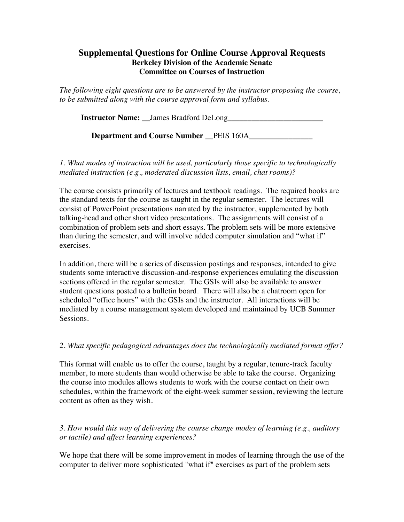## **Supplemental Questions for Online Course Approval Requests Berkeley Division of the Academic Senate Committee on Courses of Instruction**

*The following eight questions are to be answered by the instructor proposing the course, to be submitted along with the course approval form and syllabus.*

| <b>Instructor Name:</b> James Bradford DeLong |  |
|-----------------------------------------------|--|
|                                               |  |

**Department and Course Number \_\_**PEIS 160A**\_\_\_\_\_\_\_\_\_\_\_\_\_\_\_\_**

*1. What modes of instruction will be used, particularly those specific to technologically mediated instruction (e.g., moderated discussion lists, email, chat rooms)?*

The course consists primarily of lectures and textbook readings. The required books are the standard texts for the course as taught in the regular semester. The lectures will consist of PowerPoint presentations narrated by the instructor, supplemented by both talking-head and other short video presentations. The assignments will consist of a combination of problem sets and short essays. The problem sets will be more extensive than during the semester, and will involve added computer simulation and "what if" exercises.

In addition, there will be a series of discussion postings and responses, intended to give students some interactive discussion-and-response experiences emulating the discussion sections offered in the regular semester. The GSIs will also be available to answer student questions posted to a bulletin board. There will also be a chatroom open for scheduled "office hours" with the GSIs and the instructor. All interactions will be mediated by a course management system developed and maintained by UCB Summer Sessions.

## *2. What specific pedagogical advantages does the technologically mediated format offer?*

This format will enable us to offer the course, taught by a regular, tenure-track faculty member, to more students than would otherwise be able to take the course. Organizing the course into modules allows students to work with the course contact on their own schedules, within the framework of the eight-week summer session, reviewing the lecture content as often as they wish.

*3. How would this way of delivering the course change modes of learning (e.g., auditory or tactile) and affect learning experiences?*

We hope that there will be some improvement in modes of learning through the use of the computer to deliver more sophisticated "what if" exercises as part of the problem sets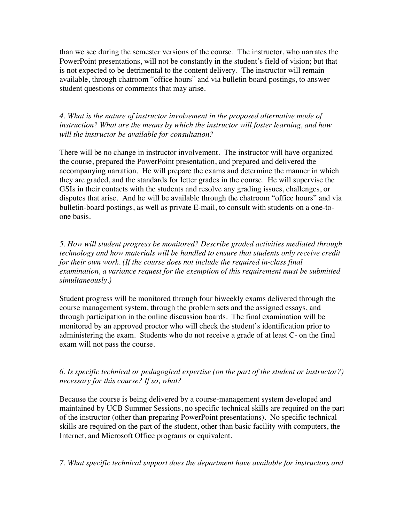than we see during the semester versions of the course. The instructor, who narrates the PowerPoint presentations, will not be constantly in the student's field of vision; but that is not expected to be detrimental to the content delivery. The instructor will remain available, through chatroom "office hours" and via bulletin board postings, to answer student questions or comments that may arise.

*4. What is the nature of instructor involvement in the proposed alternative mode of instruction? What are the means by which the instructor will foster learning, and how will the instructor be available for consultation?*

There will be no change in instructor involvement. The instructor will have organized the course, prepared the PowerPoint presentation, and prepared and delivered the accompanying narration. He will prepare the exams and determine the manner in which they are graded, and the standards for letter grades in the course. He will supervise the GSIs in their contacts with the students and resolve any grading issues, challenges, or disputes that arise. And he will be available through the chatroom "office hours" and via bulletin-board postings, as well as private E-mail, to consult with students on a one-toone basis.

*5. How will student progress be monitored? Describe graded activities mediated through technology and how materials will be handled to ensure that students only receive credit for their own work. (If the course does not include the required in-class final examination, a variance request for the exemption of this requirement must be submitted simultaneously.)*

Student progress will be monitored through four biweekly exams delivered through the course management system, through the problem sets and the assigned essays, and through participation in the online discussion boards. The final examination will be monitored by an approved proctor who will check the student's identification prior to administering the exam. Students who do not receive a grade of at least C- on the final exam will not pass the course.

## *6. Is specific technical or pedagogical expertise (on the part of the student or instructor?) necessary for this course? If so, what?*

Because the course is being delivered by a course-management system developed and maintained by UCB Summer Sessions, no specific technical skills are required on the part of the instructor (other than preparing PowerPoint presentations). No specific technical skills are required on the part of the student, other than basic facility with computers, the Internet, and Microsoft Office programs or equivalent.

## *7. What specific technical support does the department have available for instructors and*